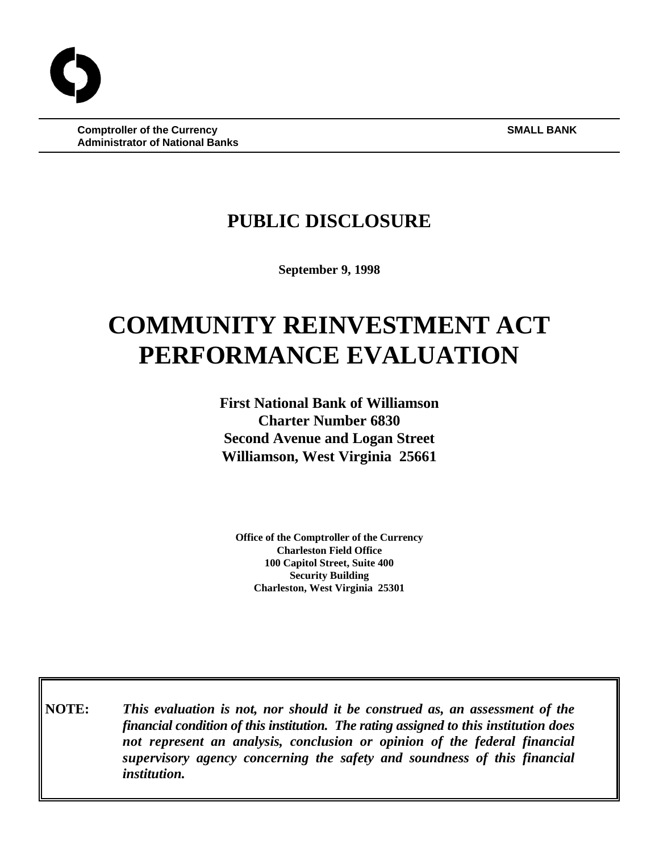**Comptroller of the Currency SMALL BANK Administrator of National Banks**

# **PUBLIC DISCLOSURE**

**September 9, 1998**

# **COMMUNITY REINVESTMENT ACT PERFORMANCE EVALUATION**

**First National Bank of Williamson Charter Number 6830 Second Avenue and Logan Street Williamson, West Virginia 25661**

**Office of the Comptroller of the Currency Charleston Field Office 100 Capitol Street, Suite 400 Security Building Charleston, West Virginia 25301**

**NOTE:** *This evaluation is not, nor should it be construed as, an assessment of the financial condition of this institution. The rating assigned to this institution does not represent an analysis, conclusion or opinion of the federal financial supervisory agency concerning the safety and soundness of this financial institution.*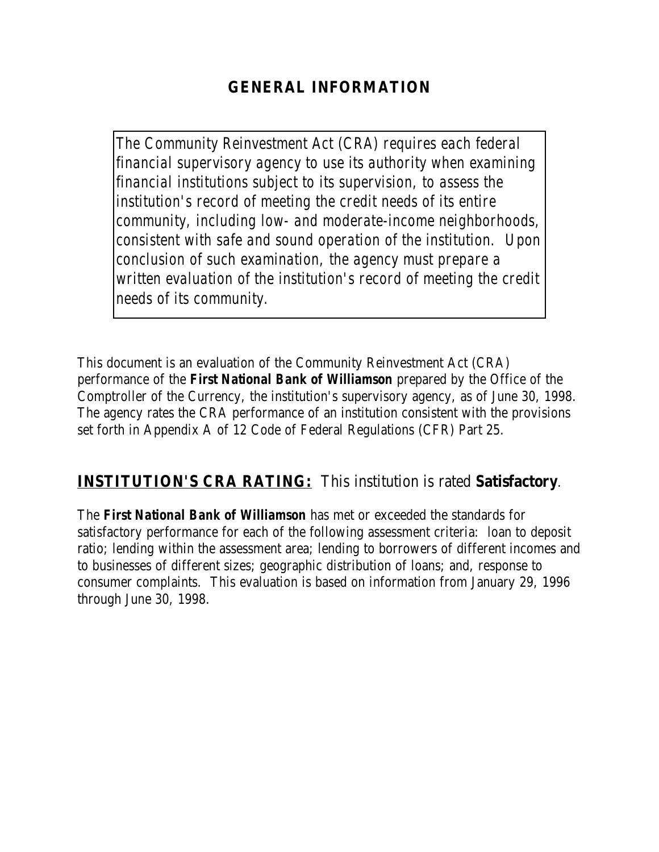# **GENERAL INFORMATION**

*The Community Reinvestment Act (CRA) requires each federal financial supervisory agency to use its authority when examining financial institutions subject to its supervision, to assess the institution's record of meeting the credit needs of its entire community, including low- and moderate-income neighborhoods, consistent with safe and sound operation of the institution. Upon conclusion of such examination, the agency must prepare a written evaluation of the institution's record of meeting the credit needs of its community.* 

This document is an evaluation of the Community Reinvestment Act (CRA) performance of the *First National Bank of Williamson* prepared by the Office of the Comptroller of the Currency, the institution's supervisory agency, as of June 30, 1998. The agency rates the CRA performance of an institution consistent with the provisions set forth in Appendix A of 12 Code of Federal Regulations (CFR) Part 25.

## **INSTITUTION'S CRA RATING:** This institution is rated **Satisfactory**.

The *First National Bank of Williamson* has met or exceeded the standards for satisfactory performance for each of the following assessment criteria: loan to deposit ratio; lending within the assessment area; lending to borrowers of different incomes and to businesses of different sizes; geographic distribution of loans; and, response to consumer complaints. This evaluation is based on information from January 29, 1996 through June 30, 1998.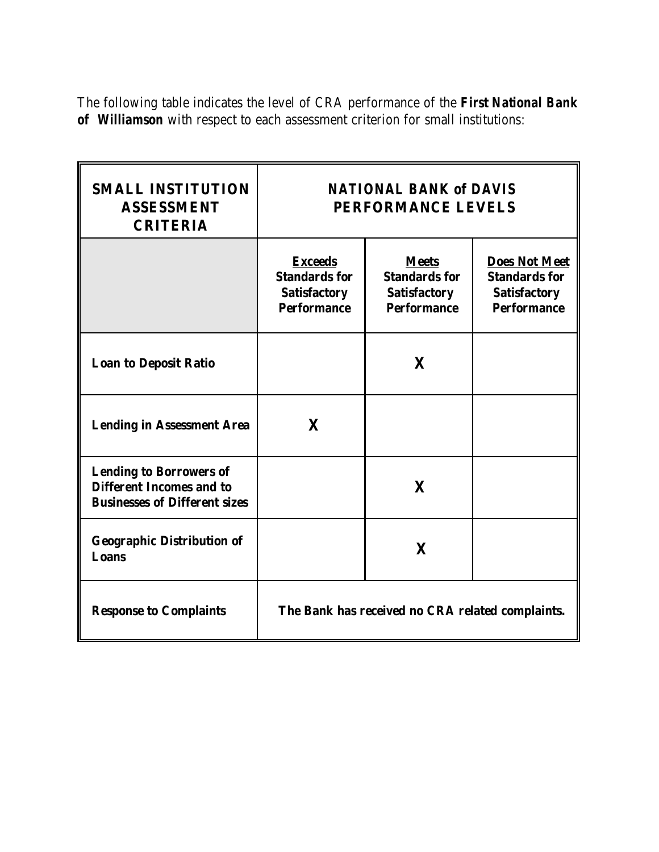The following table indicates the level of CRA performance of the *First National Bank of Williamson* with respect to each assessment criterion for small institutions:

| <b>SMALL INSTITUTION</b><br><b>ASSESSMENT</b><br><b>CRITERIA</b>                                          | <b>NATIONAL BANK of DAVIS</b><br><b>PERFORMANCE LEVELS</b>                          |                                                                                   |                                                                                           |  |  |
|-----------------------------------------------------------------------------------------------------------|-------------------------------------------------------------------------------------|-----------------------------------------------------------------------------------|-------------------------------------------------------------------------------------------|--|--|
|                                                                                                           | <b>Exceeds</b><br><b>Standards for</b><br><b>Satisfactory</b><br><b>Performance</b> | <b>Meets</b><br><b>Standards for</b><br><b>Satisfactory</b><br><b>Performance</b> | <b>Does Not Meet</b><br><b>Standards for</b><br><b>Satisfactory</b><br><b>Performance</b> |  |  |
| <b>Loan to Deposit Ratio</b>                                                                              |                                                                                     | X                                                                                 |                                                                                           |  |  |
| <b>Lending in Assessment Area</b>                                                                         | $\mathbf{X}$                                                                        |                                                                                   |                                                                                           |  |  |
| <b>Lending to Borrowers of</b><br><b>Different Incomes and to</b><br><b>Businesses of Different sizes</b> |                                                                                     | X                                                                                 |                                                                                           |  |  |
| <b>Geographic Distribution of</b><br><b>Loans</b>                                                         |                                                                                     | $\mathbf{X}$                                                                      |                                                                                           |  |  |
| <b>Response to Complaints</b>                                                                             | The Bank has received no CRA related complaints.                                    |                                                                                   |                                                                                           |  |  |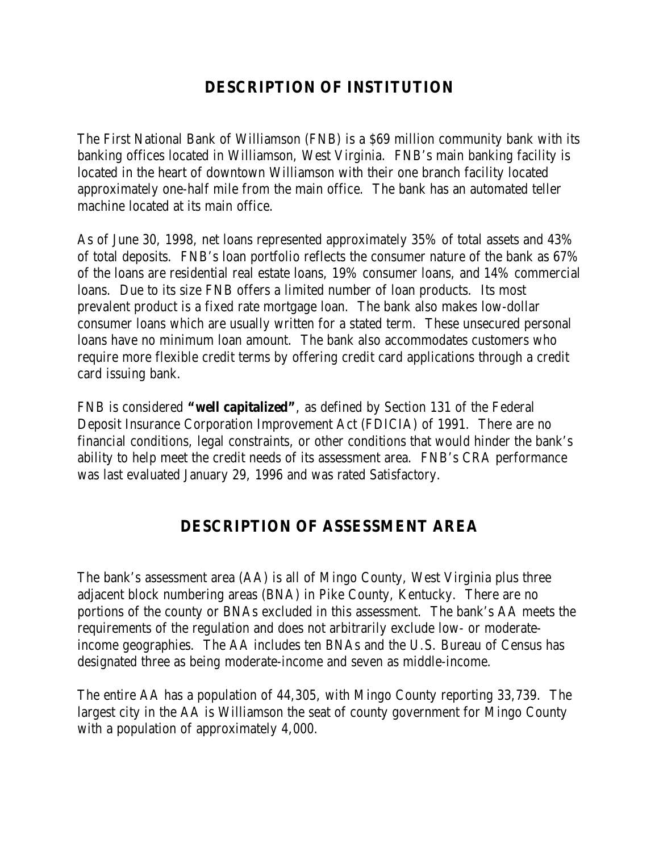## **DESCRIPTION OF INSTITUTION**

The First National Bank of Williamson (FNB) is a \$69 million community bank with its banking offices located in Williamson, West Virginia. FNB's main banking facility is located in the heart of downtown Williamson with their one branch facility located approximately one-half mile from the main office. The bank has an automated teller machine located at its main office.

As of June 30, 1998, net loans represented approximately 35% of total assets and 43% of total deposits. FNB's loan portfolio reflects the consumer nature of the bank as 67% of the loans are residential real estate loans, 19% consumer loans, and 14% commercial loans. Due to its size FNB offers a limited number of loan products. Its most prevalent product is a fixed rate mortgage loan. The bank also makes low-dollar consumer loans which are usually written for a stated term. These unsecured personal loans have no minimum loan amount. The bank also accommodates customers who require more flexible credit terms by offering credit card applications through a credit card issuing bank.

FNB is considered **"well capitalized"**, as defined by Section 131 of the Federal Deposit Insurance Corporation Improvement Act (FDICIA) of 1991. There are no financial conditions, legal constraints, or other conditions that would hinder the bank's ability to help meet the credit needs of its assessment area. FNB's CRA performance was last evaluated January 29, 1996 and was rated Satisfactory.

### **DESCRIPTION OF ASSESSMENT AREA**

The bank's assessment area (AA) is all of Mingo County, West Virginia plus three adjacent block numbering areas (BNA) in Pike County, Kentucky. There are no portions of the county or BNAs excluded in this assessment. The bank's AA meets the requirements of the regulation and does not arbitrarily exclude low- or moderateincome geographies. The AA includes ten BNAs and the U.S. Bureau of Census has designated three as being moderate-income and seven as middle-income.

The entire AA has a population of 44,305, with Mingo County reporting 33,739. The largest city in the AA is Williamson the seat of county government for Mingo County with a population of approximately 4,000.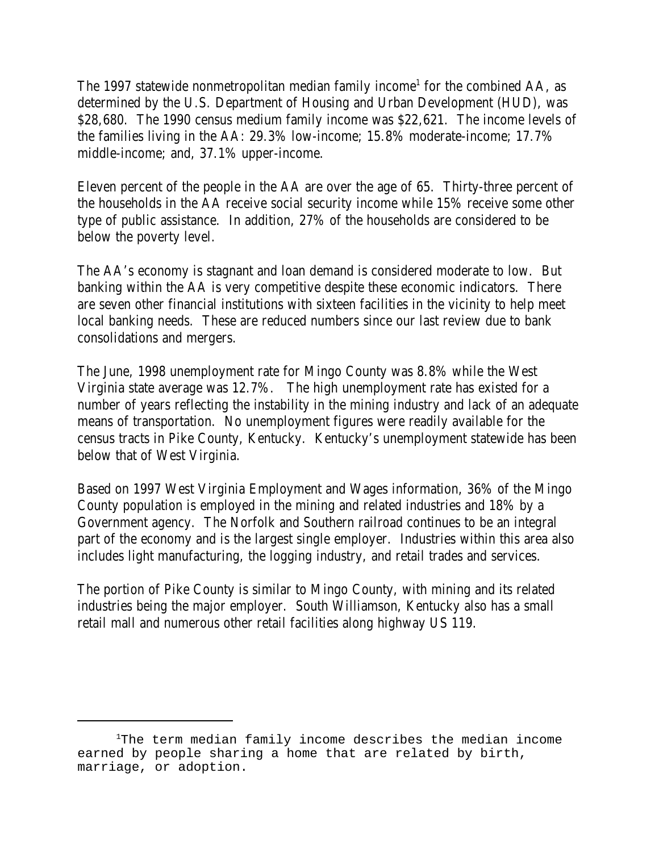The 1997 statewide nonmetropolitan median family income<sup>1</sup> for the combined AA, as determined by the U.S. Department of Housing and Urban Development (HUD), was \$28,680. The 1990 census medium family income was \$22,621. The income levels of the families living in the AA: 29.3% low-income; 15.8% moderate-income; 17.7% middle-income; and, 37.1% upper-income.

Eleven percent of the people in the AA are over the age of 65. Thirty-three percent of the households in the AA receive social security income while 15% receive some other type of public assistance. In addition, 27% of the households are considered to be below the poverty level.

The AA's economy is stagnant and loan demand is considered moderate to low. But banking within the AA is very competitive despite these economic indicators. There are seven other financial institutions with sixteen facilities in the vicinity to help meet local banking needs. These are reduced numbers since our last review due to bank consolidations and mergers.

The June, 1998 unemployment rate for Mingo County was 8.8% while the West Virginia state average was 12.7%. The high unemployment rate has existed for a number of years reflecting the instability in the mining industry and lack of an adequate means of transportation. No unemployment figures were readily available for the census tracts in Pike County, Kentucky. Kentucky's unemployment statewide has been below that of West Virginia.

Based on 1997 West Virginia Employment and Wages information, 36% of the Mingo County population is employed in the mining and related industries and 18% by a Government agency. The Norfolk and Southern railroad continues to be an integral part of the economy and is the largest single employer. Industries within this area also includes light manufacturing, the logging industry, and retail trades and services.

The portion of Pike County is similar to Mingo County, with mining and its related industries being the major employer. South Williamson, Kentucky also has a small retail mall and numerous other retail facilities along highway US 119.

 $1$ The term median family income describes the median income earned by people sharing a home that are related by birth, marriage, or adoption.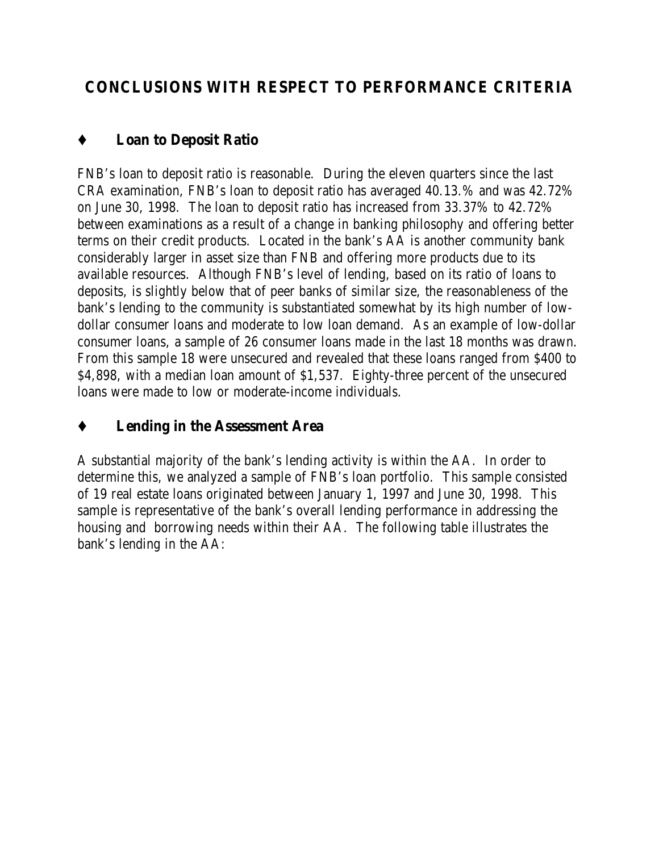# **CONCLUSIONS WITH RESPECT TO PERFORMANCE CRITERIA**

## Ç **Loan to Deposit Ratio**

FNB's loan to deposit ratio is reasonable. During the eleven quarters since the last CRA examination, FNB's loan to deposit ratio has averaged 40.13.% and was 42.72% on June 30, 1998. The loan to deposit ratio has increased from 33.37% to 42.72% between examinations as a result of a change in banking philosophy and offering better terms on their credit products. Located in the bank's AA is another community bank considerably larger in asset size than FNB and offering more products due to its available resources. Although FNB's level of lending, based on its ratio of loans to deposits, is slightly below that of peer banks of similar size, the reasonableness of the bank's lending to the community is substantiated somewhat by its high number of lowdollar consumer loans and moderate to low loan demand. As an example of low-dollar consumer loans, a sample of 26 consumer loans made in the last 18 months was drawn. From this sample 18 were unsecured and revealed that these loans ranged from \$400 to \$4,898, with a median loan amount of \$1,537. Eighty-three percent of the unsecured loans were made to low or moderate-income individuals.

## Ç **Lending in the Assessment Area**

A substantial majority of the bank's lending activity is within the AA. In order to determine this, we analyzed a sample of FNB's loan portfolio. This sample consisted of 19 real estate loans originated between January 1, 1997 and June 30, 1998. This sample is representative of the bank's overall lending performance in addressing the housing and borrowing needs within their AA. The following table illustrates the bank's lending in the AA: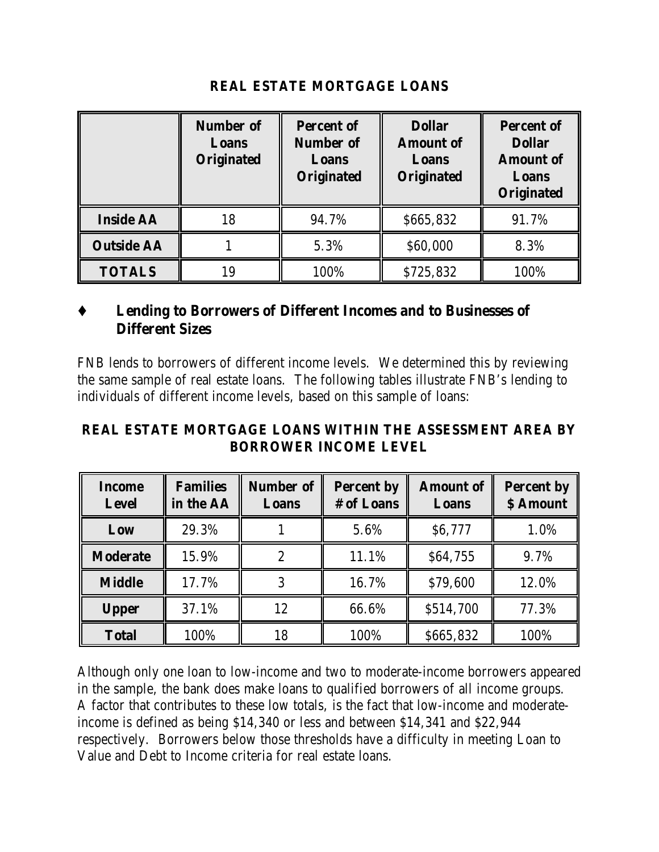|                   | <b>Number of</b><br>Loans<br><b>Originated</b> | <b>Percent of</b><br><b>Number of</b><br>Loans<br><b>Originated</b> | <b>Dollar</b><br><b>Amount of</b><br>Loans<br><b>Originated</b> | <b>Percent of</b><br><b>Dollar</b><br><b>Amount of</b><br>Loans<br><b>Originated</b> |
|-------------------|------------------------------------------------|---------------------------------------------------------------------|-----------------------------------------------------------------|--------------------------------------------------------------------------------------|
| <b>Inside AA</b>  | 18                                             | 94.7%                                                               | \$665,832                                                       | 91.7%                                                                                |
| <b>Outside AA</b> |                                                | 5.3%                                                                | \$60,000                                                        | 8.3%                                                                                 |
| <b>TOTALS</b>     | 19                                             | 100%                                                                | \$725,832                                                       | 100%                                                                                 |

#### **REAL ESTATE MORTGAGE LOANS**

#### Ç **Lending to Borrowers of Different Incomes and to Businesses of Different Sizes**

FNB lends to borrowers of different income levels. We determined this by reviewing the same sample of real estate loans. The following tables illustrate FNB's lending to individuals of different income levels, based on this sample of loans:

#### **REAL ESTATE MORTGAGE LOANS WITHIN THE ASSESSMENT AREA BY BORROWER INCOME LEVEL**

| <b>Income</b><br><b>Level</b> | <b>Families</b><br>in the AA | <b>Number of</b><br>Loans | <b>Percent by</b><br># of Loans | <b>Amount of</b><br>Loans | <b>Percent by</b><br>\$ Amount |
|-------------------------------|------------------------------|---------------------------|---------------------------------|---------------------------|--------------------------------|
| Low                           | 29.3%                        |                           | 5.6%                            | <b>S6,777</b>             | 1.0%                           |
| <b>Moderate</b>               | 15.9%                        |                           | 11.1%                           | \$64,755                  | 9.7%                           |
| <b>Middle</b>                 | 17.7%                        |                           | 16.7%                           | \$79,600                  | 12.0%                          |
| <b>Upper</b>                  | 37.1%                        | 12                        | 66.6%                           | \$514,700                 | 77.3%                          |
| <b>Total</b>                  | 100%                         | 18                        | 100%                            | \$665,832                 | 100%                           |

Although only one loan to low-income and two to moderate-income borrowers appeared in the sample, the bank does make loans to qualified borrowers of all income groups. A factor that contributes to these low totals, is the fact that low-income and moderateincome is defined as being \$14,340 or less and between \$14,341 and \$22,944 respectively. Borrowers below those thresholds have a difficulty in meeting Loan to Value and Debt to Income criteria for real estate loans.